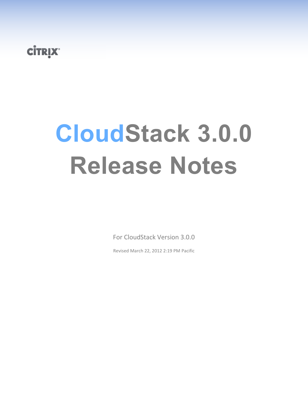# **CİTRIX**

# **CloudStack 3.0.0 Release Notes**

For CloudStack Version 3.0.0

Revised March 22, 2012 2:19 PM Pacific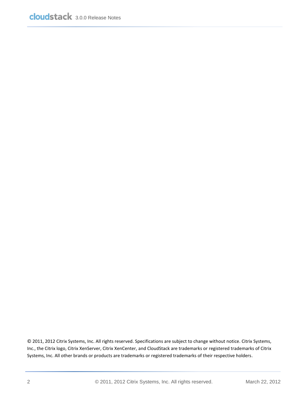© 2011, 2012 Citrix Systems, Inc. All rights reserved. Specifications are subject to change without notice. Citrix Systems, Inc., the Citrix logo, Citrix XenServer, Citrix XenCenter, and CloudStack are trademarks or registered trademarks of Citrix Systems, Inc. All other brands or products are trademarks or registered trademarks of their respective holders.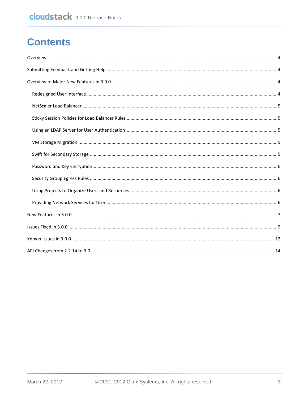## **Contents**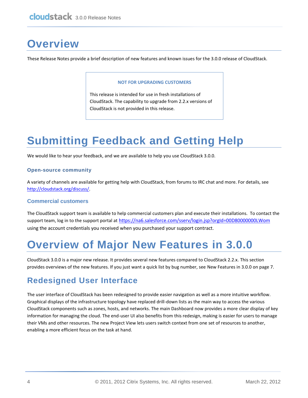# <span id="page-3-0"></span>**Overview**

These Release Notes provide a brief description of new features and known issues for the 3.0.0 release of CloudStack.

#### **NOT FOR UPGRADING CUSTOMERS**

This release is intended for use in fresh installations of CloudStack. The capability to upgrade from 2.2.x versions of CloudStack is not provided in this release.

# <span id="page-3-1"></span>**Submitting Feedback and Getting Help**

We would like to hear your feedback, and we are available to help you use CloudStack 3.0.0.

#### **Open-source community**

A variety of channels are available for getting help with CloudStack, from forums to IRC chat and more. For details, see [http://cloudstack.org/discuss/.](http://cloudstack.org/discuss/)

#### **Commercial customers**

The CloudStack support team is available to help commercial customers plan and execute their installations. To contact the support team, log in to the support portal at <https://na6.salesforce.com/sserv/login.jsp?orgId=00D80000000LWom> using the account credentials you received when you purchased your support contract.

# <span id="page-3-2"></span>**Overview of Major New Features in 3.0.0**

CloudStack 3.0.0 is a major new release. It provides several new features compared to CloudStack 2.2.x. This section provides overviews of the new features. If you just want a quick list by bug number, see [New Features in 3.0.0](#page-6-0) on pag[e 7.](#page-6-0)

### <span id="page-3-3"></span>**Redesigned User Interface**

The user interface of CloudStack has been redesigned to provide easier navigation as well as a more intuitive workflow. Graphical displays of the infrastructure topology have replaced drill-down lists as the main way to access the various CloudStack components such as zones, hosts, and networks. The main Dashboard now provides a more clear display of key information for managing the cloud. The end-user UI also benefits from this redesign, making is easier for users to manage their VMs and other resources. The new Project View lets users switch context from one set of resources to another, enabling a more efficient focus on the task at hand.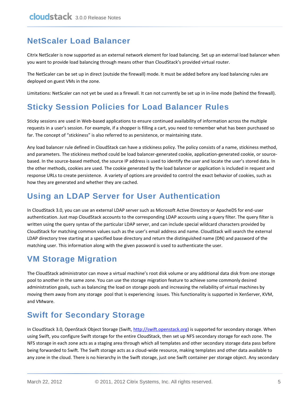## <span id="page-4-0"></span>**NetScaler Load Balancer**

Citrix NetScaler is now supported as an external network element for load balancing. Set up an external load balancer when you want to provide load balancing through means other than CloudStack's provided virtual router.

The NetScaler can be set up in direct (outside the firewall) mode. It must be added before any load balancing rules are deployed on guest VMs in the zone.

Limitations: NetScaler can not yet be used as a firewall. It can not currently be set up in in-line mode (behind the firewall).

### <span id="page-4-1"></span>**Sticky Session Policies for Load Balancer Rules**

Sticky sessions are used in Web-based applications to ensure continued availability of information across the multiple requests in a user's session. For example, if a shopper is filling a cart, you need to remember what has been purchased so far. The concept of "stickiness" is also referred to as persistence, or maintaining state.

Any load balancer rule defined in CloudStack can have a stickiness policy. The policy consists of a name, stickiness method, and parameters. The stickiness method could be load balancer-generated cookie, application-generated cookie, or sourcebased. In the source-based method, the source IP address is used to identify the user and locate the user's stored data. In the other methods, cookies are used. The cookie generated by the load balancer or application is included in request and response URLs to create persistence. A variety of options are provided to control the exact behavior of cookies, such as how they are generated and whether they are cached.

## <span id="page-4-2"></span>**Using an LDAP Server for User Authentication**

In CloudStack 3.0, you can use an external LDAP server such as Microsoft Active Directory or ApacheDS for end-user authentication. Just map CloudStack accounts to the corresponding LDAP accounts using a query filter. The query filter is written using the query syntax of the particular LDAP server, and can include special wildcard characters provided by CloudStack for matching common values such as the user's email address and name. CloudStack will search the external LDAP directory tree starting at a specified base directory and return the distinguished name (DN) and password of the matching user. This information along with the given password is used to authenticate the user.

### <span id="page-4-3"></span>**VM Storage Migration**

The CloudStack administrator can move a virtual machine's root disk volume or any additional data disk from one storage pool to another in the same zone. You can use the storage migration feature to achieve some commonly desired administration goals, such as balancing the load on storage pools and increasing the reliability of virtual machines by moving them away from any storage pool that is experiencing issues. This functionality is supported in XenServer, KVM, and VMware.

## <span id="page-4-4"></span>**Swift for Secondary Storage**

In CloudStack 3.0, OpenStack Object Storage (Swift, [http://swift.openstack.org\)](http://swift.openstack.org/) is supported for secondary storage. When using Swift, you configure Swift storage for the entire CloudStack, then set up NFS secondary storage for each zone. The NFS storage in each zone acts as a staging area through which all templates and other secondary storage data pass before being forwarded to Swift. The Swift storage acts as a cloud-wide resource, making templates and other data available to any zone in the cloud. There is no hierarchy in the Swift storage, just one Swift container per storage object. Any secondary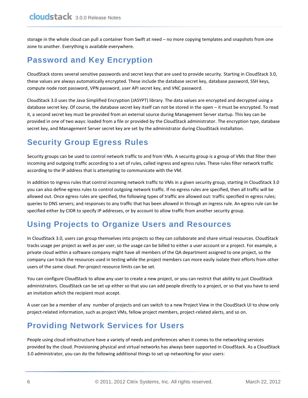storage in the whole cloud can pull a container from Swift at need – no more copying templates and snapshots from one zone to another. Everything is available everywhere.

## <span id="page-5-0"></span>**Password and Key Encryption**

CloudStack stores several sensitive passwords and secret keys that are used to provide security. Starting in CloudStack 3.0, these values are always automatically encrypted. These include the database secret key, database password, SSH keys, compute node root password, VPN password, user API secret key, and VNC password.

CloudStack 3.0 uses the Java Simplified Encryption (JASYPT) library. The data values are encrypted and decrypted using a database secret key. Of course, the database secret key itself can not be stored in the open – it must be encrypted. To read it, a second secret key must be provided from an external source during Management Server startup. This key can be provided in one of two ways: loaded from a file or provided by the CloudStack administrator. The encryption type, database secret key, and Management Server secret key are set by the administrator during CloudStack installation.

## <span id="page-5-1"></span>**Security Group Egress Rules**

Security groups can be used to control network traffic to and from VMs. A security group is a group of VMs that filter their incoming and outgoing traffic according to a set of rules, called ingress and egress rules. These rules filter network traffic according to the IP address that is attempting to communicate with the VM.

In addition to ingress rules that control incoming network traffic to VMs in a given security group, starting in CloudStack 3.0 you can also define egress rules to control outgoing network traffic. If no egress rules are specified, then all traffic will be allowed out. Once egress rules are specified, the following types of traffic are allowed out: traffic specified in egress rules; queries to DNS servers; and responses to any traffic that has been allowed in through an ingress rule. An egress rule can be specified either by CIDR to specify IP addresses, or by account to allow traffic from another security group.

### <span id="page-5-2"></span>**Using Projects to Organize Users and Resources**

In CloudStack 3.0, users can group themselves into projects so they can collaborate and share virtual resources. CloudStack tracks usage per project as well as per user, so the usage can be billed to either a user account or a project. For example, a private cloud within a software company might have all members of the QA department assigned to one project, so the company can track the resources used in testing while the project members can more easily isolate their efforts from other users of the same cloud. Per-project resource limits can be set.

You can configure CloudStack to allow any user to create a new project, or you can restrict that ability to just CloudStack administrators. CloudStack can be set up either so that you can add people directly to a project, or so that you have to send an invitation which the recipient must accept.

A user can be a member of any number of projects and can switch to a new Project View in the CloudStack UI to show only project-related information, such as project VMs, fellow project members, project-related alerts, and so on.

### <span id="page-5-3"></span>**Providing Network Services for Users**

People using cloud infrastructure have a variety of needs and preferences when it comes to the networking services provided by the cloud. Provisioning physical and virtual networks has always been supported in CloudStack. As a CloudStack 3.0 administrator, you can do the following additional things to set up networking for your users: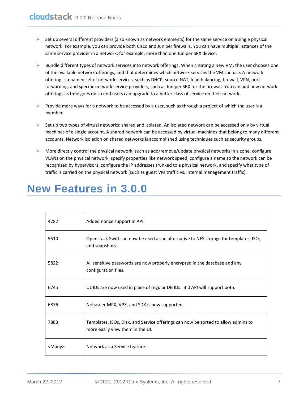- $\triangleright$  Set up several different providers (also known as network elements) for the same service on a single physical network. For example, you can provide both Cisco and Juniper firewalls. You can have multiple instances of the same service provider in a network; for example, more than one Juniper SRX device.
- $\triangleright$  Bundle different types of network services into network offerings. When creating a new VM, the user chooses one of the available network offerings, and that determines which network services the VM can use. A network offering is a named set of network services, such as DHCP, source NAT, load balancing, firewall, VPN, port forwarding, and specific network service providers, such as Juniper SRX for the firewall. You can add new network offerings as time goes on so end users can upgrade to a better class of service on their network.
- Provide more ways for a network to be accessed by a user, such as through a project of which the user is a member.
- $\triangleright$  Set up two types of virtual networks: shared and isolated. An isolated network can be accessed only by virtual machines of a single account. A shared network can be accessed by virtual machines that belong to many different accounts. Network isolation on shared networks is accomplished using techniques such as security groups.
- $\triangleright$  More directly control the physical network, such as add/remove/update physical networks in a zone, configure VLANs on the physical network, specify properties like network speed, configure a name so the network can be recognized by hypervisors, configure the IP addresses trunked to a physical network, and specify what type of traffic is carried on the physical network (such as guest VM traffic vs. internal management traffic).

# <span id="page-6-0"></span>**New Features in 3.0.0**

| 4282          | Added nonce support in API.                                                                                           |
|---------------|-----------------------------------------------------------------------------------------------------------------------|
| 5510          | Openstack Swift can now be used as an alternative to NFS storage for templates, ISO,<br>and snapshots.                |
| 5822          | All sensitive passwords are now properly encrypted in the database and any<br>configuration files.                    |
| 6745          | UUIDs are now used in place of regular DB IDs. 3.0 API will support both.                                             |
| 6876          | Netscaler MPX, VPX, and SDX is now supported.                                                                         |
| 7883          | Templates, ISOs, Disk, and Service offerings can now be sorted to allow admins to<br>more easily view them in the UI. |
| <many></many> | Network as a Service feature.                                                                                         |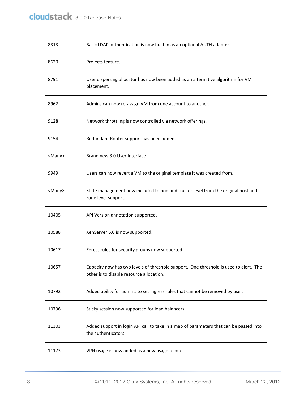| 8313          | Basic LDAP authentication is now built in as an optional AUTH adapter.                                                            |
|---------------|-----------------------------------------------------------------------------------------------------------------------------------|
| 8620          | Projects feature.                                                                                                                 |
| 8791          | User dispersing allocator has now been added as an alternative algorithm for VM<br>placement.                                     |
| 8962          | Admins can now re-assign VM from one account to another.                                                                          |
| 9128          | Network throttling is now controlled via network offerings.                                                                       |
| 9154          | Redundant Router support has been added.                                                                                          |
| <many></many> | Brand new 3.0 User Interface                                                                                                      |
| 9949          | Users can now revert a VM to the original template it was created from.                                                           |
| <many></many> | State management now included to pod and cluster level from the original host and<br>zone level support.                          |
| 10405         | API Version annotation supported.                                                                                                 |
| 10588         | XenServer 6.0 is now supported.                                                                                                   |
| 10617         | Egress rules for security groups now supported.                                                                                   |
| 10657         | Capacity now has two levels of threshold support. One threshold is used to alert. The<br>other is to disable resource allocation. |
| 10792         | Added ability for admins to set ingress rules that cannot be removed by user.                                                     |
| 10796         | Sticky session now supported for load balancers.                                                                                  |
| 11303         | Added support in login API call to take in a map of parameters that can be passed into<br>the authenticators.                     |
| 11173         | VPN usage is now added as a new usage record.                                                                                     |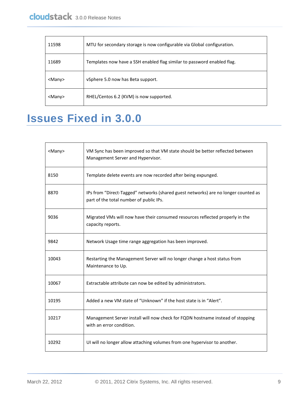| 11598        | MTU for secondary storage is now configurable via Global configuration. |
|--------------|-------------------------------------------------------------------------|
| 11689        | Templates now have a SSH enabled flag similar to password enabled flag. |
| $<$ Many $>$ | vSphere 5.0 now has Beta support.                                       |
| $<$ Many $>$ | RHEL/Centos 6.2 (KVM) is now supported.                                 |

# <span id="page-8-0"></span>**Issues Fixed in 3.0.0**

| <many></many> | VM Sync has been improved so that VM state should be better reflected between<br>Management Server and Hypervisor.            |
|---------------|-------------------------------------------------------------------------------------------------------------------------------|
| 8150          | Template delete events are now recorded after being expunged.                                                                 |
| 8870          | IPs from "Direct-Tagged" networks (shared guest networks) are no longer counted as<br>part of the total number of public IPs. |
| 9036          | Migrated VMs will now have their consumed resources reflected properly in the<br>capacity reports.                            |
| 9842          | Network Usage time range aggregation has been improved.                                                                       |
| 10043         | Restarting the Management Server will no longer change a host status from<br>Maintenance to Up.                               |
| 10067         | Extractable attribute can now be edited by administrators.                                                                    |
| 10195         | Added a new VM state of "Unknown" if the host state is in "Alert".                                                            |
| 10217         | Management Server install will now check for FQDN hostname instead of stopping<br>with an error condition.                    |
| 10292         | UI will no longer allow attaching volumes from one hypervisor to another.                                                     |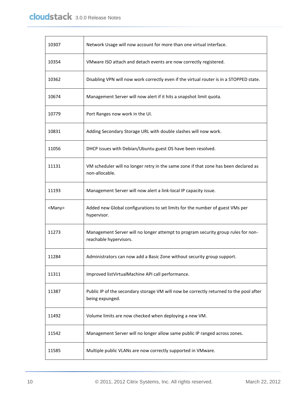| 10307         | Network Usage will now account for more than one virtual interface.                                         |
|---------------|-------------------------------------------------------------------------------------------------------------|
| 10354         | VMware ISO attach and detach events are now correctly registered.                                           |
| 10362         | Disabling VPN will now work correctly even if the virtual router is in a STOPPED state.                     |
| 10674         | Management Server will now alert if it hits a snapshot limit quota.                                         |
| 10779         | Port Ranges now work in the UI.                                                                             |
| 10831         | Adding Secondary Storage URL with double slashes will now work.                                             |
| 11056         | DHCP issues with Debian/Ubuntu guest OS have been resolved.                                                 |
| 11131         | VM scheduler will no longer retry in the same zone if that zone has been declared as<br>non-allocable.      |
| 11193         | Management Server will now alert a link-local IP capacity issue.                                            |
| <many></many> | Added new Global configurations to set limits for the number of guest VMs per<br>hypervisor.                |
| 11273         | Management Server will no longer attempt to program security group rules for non-<br>reachable hypervisors. |
| 11284         | Administrators can now add a Basic Zone without security group support.                                     |
| 11311         | Improved listVirtualMachine API call performance.                                                           |
| 11387         | Public IP of the secondary storage VM will now be correctly returned to the pool after<br>being expunged.   |
| 11492         | Volume limits are now checked when deploying a new VM.                                                      |
| 11542         | Management Server will no longer allow same public IP ranged across zones.                                  |
| 11585         | Multiple public VLANs are now correctly supported in VMware.                                                |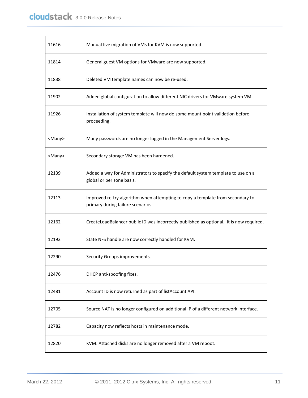| 11616         | Manual live migration of VMs for KVM is now supported.                                                              |
|---------------|---------------------------------------------------------------------------------------------------------------------|
| 11814         | General guest VM options for VMware are now supported.                                                              |
| 11838         | Deleted VM template names can now be re-used.                                                                       |
| 11902         | Added global configuration to allow different NIC drivers for VMware system VM.                                     |
| 11926         | Installation of system template will now do some mount point validation before<br>proceeding.                       |
| <many></many> | Many passwords are no longer logged in the Management Server logs.                                                  |
| <many></many> | Secondary storage VM has been hardened.                                                                             |
| 12139         | Added a way for Administrators to specify the default system template to use on a<br>global or per zone basis.      |
| 12113         | Improved re-try algorithm when attempting to copy a template from secondary to<br>primary during failure scenarios. |
| 12162         | CreateLoadBalancer public ID was incorrectly published as optional. It is now required.                             |
| 12192         | State NFS handle are now correctly handled for KVM.                                                                 |
| 12290         | Security Groups improvements.                                                                                       |
| 12476         | DHCP anti-spoofing fixes.                                                                                           |
| 12481         | Account ID is now returned as part of listAccount API.                                                              |
| 12705         | Source NAT is no longer configured on additional IP of a different network interface.                               |
| 12782         | Capacity now reflects hosts in maintenance mode.                                                                    |
| 12820         | KVM: Attached disks are no longer removed after a VM reboot.                                                        |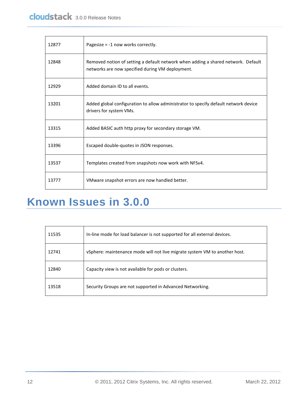| 12877 | Pagesize = -1 now works correctly.                                                                                                    |
|-------|---------------------------------------------------------------------------------------------------------------------------------------|
| 12848 | Removed notion of setting a default network when adding a shared network. Default<br>networks are now specified during VM deployment. |
| 12929 | Added domain ID to all events.                                                                                                        |
| 13201 | Added global configuration to allow administrator to specify default network device<br>drivers for system VMs.                        |
| 13315 | Added BASIC auth http proxy for secondary storage VM.                                                                                 |
| 13396 | Escaped double-quotes in JSON responses.                                                                                              |
| 13537 | Templates created from snapshots now work with NFSv4.                                                                                 |
| 13777 | VMware snapshot errors are now handled better.                                                                                        |

# <span id="page-11-0"></span>**Known Issues in 3.0.0**

| 11535 | In-line mode for load balancer is not supported for all external devices.  |
|-------|----------------------------------------------------------------------------|
| 12741 | vSphere: maintenance mode will not live migrate system VM to another host. |
| 12840 | Capacity view is not available for pods or clusters.                       |
| 13518 | Security Groups are not supported in Advanced Networking.                  |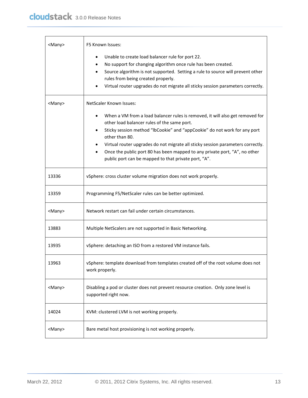| <many></many> | F5 Known Issues:                                                                                                                                                                                                                                                                                                                                                                                                                                     |
|---------------|------------------------------------------------------------------------------------------------------------------------------------------------------------------------------------------------------------------------------------------------------------------------------------------------------------------------------------------------------------------------------------------------------------------------------------------------------|
|               | Unable to create load balancer rule for port 22.<br>No support for changing algorithm once rule has been created.<br>Source algorithm is not supported. Setting a rule to source will prevent other<br>rules from being created properly.<br>Virtual router upgrades do not migrate all sticky session parameters correctly.                                                                                                                         |
| <many></many> | <b>NetScaler Known Issues:</b>                                                                                                                                                                                                                                                                                                                                                                                                                       |
|               | When a VM from a load balancer rules is removed, it will also get removed for<br>other load balancer rules of the same port.<br>Sticky session method "lbCookie" and "appCookie" do not work for any port<br>other than 80.<br>Virtual router upgrades do not migrate all sticky session parameters correctly.<br>Once the public port 80 has been mapped to any private port, "A", no other<br>public port can be mapped to that private port, "A". |
| 13336         | vSphere: cross cluster volume migration does not work properly.                                                                                                                                                                                                                                                                                                                                                                                      |
| 13359         | Programming F5/NetScaler rules can be better optimized.                                                                                                                                                                                                                                                                                                                                                                                              |
| <many></many> | Network restart can fail under certain circumstances.                                                                                                                                                                                                                                                                                                                                                                                                |
| 13883         | Multiple NetScalers are not supported in Basic Networking.                                                                                                                                                                                                                                                                                                                                                                                           |
| 13935         | vSphere: detaching an ISO from a restored VM instance fails.                                                                                                                                                                                                                                                                                                                                                                                         |
| 13963         | vSphere: template download from templates created off of the root volume does not<br>work properly.                                                                                                                                                                                                                                                                                                                                                  |
| <many></many> | Disabling a pod or cluster does not prevent resource creation. Only zone level is<br>supported right now.                                                                                                                                                                                                                                                                                                                                            |
| 14024         | KVM: clustered LVM is not working properly.                                                                                                                                                                                                                                                                                                                                                                                                          |
| <many></many> | Bare metal host provisioning is not working properly.                                                                                                                                                                                                                                                                                                                                                                                                |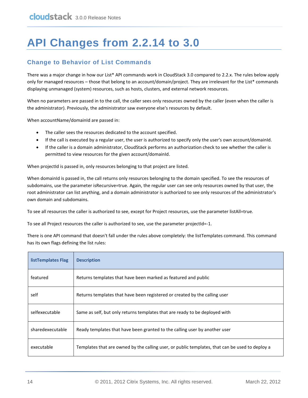# <span id="page-13-0"></span>**API Changes from 2.2.14 to 3.0**

#### **Change to Behavior of List Commands**

There was a major change in how our List\* API commands work in CloudStack 3.0 compared to 2.2.x. The rules below apply only for managed resources – those that belong to an account/domain/project. They are irrelevant for the List\* commands displaying unmanaged (system) resources, such as hosts, clusters, and external network resources.

When no parameters are passed in to the call, the caller sees only resources owned by the caller (even when the caller is the administrator). Previously, the administrator saw everyone else's resources by default.

When accountName/domainId are passed in:

- The caller sees the resources dedicated to the account specified.
- If the call is executed by a regular user, the user is authorized to specify only the user's own account/domainId.
- If the caller is a domain administrator, CloudStack performs an authorization check to see whether the caller is permitted to view resources for the given account/domainId.

When projectId is passed in, only resources belonging to that project are listed.

When domainId is passed in, the call returns only resources belonging to the domain specified. To see the resources of subdomains, use the parameter isRecursive=true. Again, the regular user can see only resources owned by that user, the root administrator can list anything, and a domain administrator is authorized to see only resources of the administrator's own domain and subdomains.

To see all resources the caller is authorized to see, except for Project resources, use the parameter listAll=true.

To see all Project resources the caller is authorized to see, use the parameter projectId=-1.

There is one API command that doesn't fall under the rules above completely: the listTemplates command. This command has its own flags defining the list rules:

| listTemplates Flag | <b>Description</b>                                                                              |
|--------------------|-------------------------------------------------------------------------------------------------|
| featured           | Returns templates that have been marked as featured and public                                  |
| self               | Returns templates that have been registered or created by the calling user                      |
| selfexecutable     | Same as self, but only returns templates that are ready to be deployed with                     |
| sharedexecutable   | Ready templates that have been granted to the calling user by another user                      |
| executable         | Templates that are owned by the calling user, or public templates, that can be used to deploy a |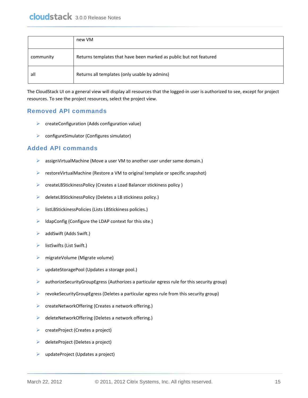|           | new VM                                                             |
|-----------|--------------------------------------------------------------------|
| community | Returns templates that have been marked as public but not featured |
| all       | Returns all templates (only usable by admins)                      |

The CloudStack UI on a general view will display all resources that the logged-in user is authorized to see, except for project resources. To see the project resources, select the project view.

#### **Removed API commands**

- $\triangleright$  createConfiguration (Adds configuration value)
- ▶ configureSimulator (Configures simulator)

#### **Added API commands**

- assignVirtualMachine (Move a user VM to another user under same domain.)
- restoreVirtualMachine (Restore a VM to original template or specific snapshot)
- createLBStickinessPolicy (Creates a Load Balancer stickiness policy )
- deleteLBStickinessPolicy (Deletes a LB stickiness policy.)
- listLBStickinessPolicies (Lists LBStickiness policies.)
- $\blacktriangleright$  IdapConfig (Configure the LDAP context for this site.)
- $\triangleright$  addSwift (Adds Swift.)
- $\triangleright$  listSwifts (List Swift.)
- migrateVolume (Migrate volume)
- updateStoragePool (Updates a storage pool.)
- authorizeSecurityGroupEgress (Authorizes a particular egress rule for this security group)
- $\triangleright$  revokeSecurityGroupEgress (Deletes a particular egress rule from this security group)
- ▶ createNetworkOffering (Creates a network offering.)
- $\triangleright$  deleteNetworkOffering (Deletes a network offering.)
- $\triangleright$  createProject (Creates a project)
- $\triangleright$  deleteProject (Deletes a project)
- $\triangleright$  updateProject (Updates a project)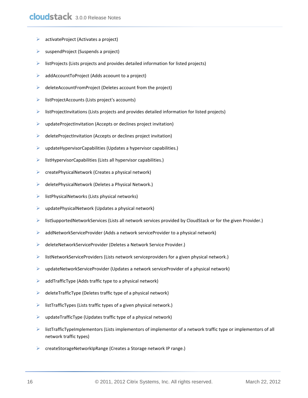- $\triangleright$  activateProject (Activates a project)
- suspendProject (Suspends a project)
- $\triangleright$  listProjects (Lists projects and provides detailed information for listed projects)
- $\triangleright$  addAccountToProject (Adds acoount to a project)
- $\triangleright$  deleteAccountFromProject (Deletes account from the project)
- $\triangleright$  listProjectAccounts (Lists project's accounts)
- $\triangleright$  listProjectInvitations (Lists projects and provides detailed information for listed projects)
- $\triangleright$  updateProjectInvitation (Accepts or declines project invitation)
- $\triangleright$  deleteProjectInvitation (Accepts or declines project invitation)
- $\triangleright$  updateHypervisorCapabilities (Updates a hypervisor capabilities.)
- $\triangleright$  listHypervisorCapabilities (Lists all hypervisor capabilities.)
- $\triangleright$  createPhysicalNetwork (Creates a physical network)
- $\triangleright$  deletePhysicalNetwork (Deletes a Physical Network.)
- $\triangleright$  listPhysicalNetworks (Lists physical networks)
- $\triangleright$  updatePhysicalNetwork (Updates a physical network)
- listSupportedNetworkServices (Lists all network services provided by CloudStack or for the given Provider.)
- $\triangleright$  addNetworkServiceProvider (Adds a network serviceProvider to a physical network)
- deleteNetworkServiceProvider (Deletes a Network Service Provider.)
- $\triangleright$  listNetworkServiceProviders (Lists network serviceproviders for a given physical network.)
- $\triangleright$  updateNetworkServiceProvider (Updates a network serviceProvider of a physical network)
- $\triangleright$  addTrafficType (Adds traffic type to a physical network)
- $\triangleright$  deleteTrafficType (Deletes traffic type of a physical network)
- $\triangleright$  listTrafficTypes (Lists traffic types of a given physical network.)
- $\triangleright$  updateTrafficType (Updates traffic type of a physical network)
- $\triangleright$  listTrafficTypeImplementors (Lists implementors of implementor of a network traffic type or implementors of all network traffic types)
- createStorageNetworkIpRange (Creates a Storage network IP range.)